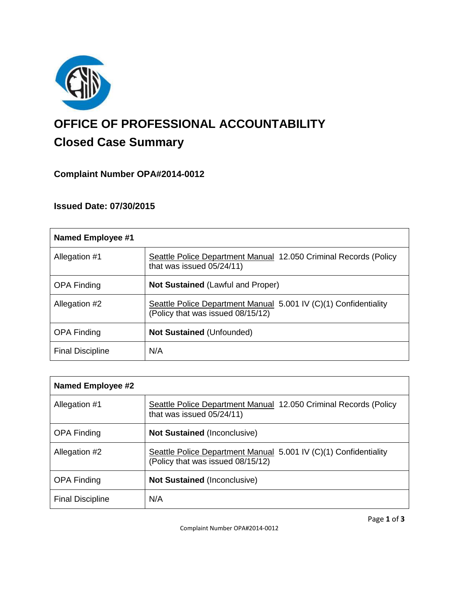

# **OFFICE OF PROFESSIONAL ACCOUNTABILITY Closed Case Summary**

# **Complaint Number OPA#2014-0012**

# **Issued Date: 07/30/2015**

| Named Employee #1       |                                                                                                       |
|-------------------------|-------------------------------------------------------------------------------------------------------|
| Allegation #1           | Seattle Police Department Manual 12.050 Criminal Records (Policy<br>that was issued 05/24/11)         |
| <b>OPA Finding</b>      | <b>Not Sustained (Lawful and Proper)</b>                                                              |
| Allegation #2           | Seattle Police Department Manual 5.001 IV (C)(1) Confidentiality<br>(Policy that was issued 08/15/12) |
| <b>OPA Finding</b>      | <b>Not Sustained (Unfounded)</b>                                                                      |
| <b>Final Discipline</b> | N/A                                                                                                   |

| Named Employee #2       |                                                                                                       |
|-------------------------|-------------------------------------------------------------------------------------------------------|
| Allegation #1           | Seattle Police Department Manual 12.050 Criminal Records (Policy<br>that was issued 05/24/11)         |
| <b>OPA Finding</b>      | <b>Not Sustained (Inconclusive)</b>                                                                   |
| Allegation #2           | Seattle Police Department Manual 5.001 IV (C)(1) Confidentiality<br>(Policy that was issued 08/15/12) |
| <b>OPA Finding</b>      | <b>Not Sustained (Inconclusive)</b>                                                                   |
| <b>Final Discipline</b> | N/A                                                                                                   |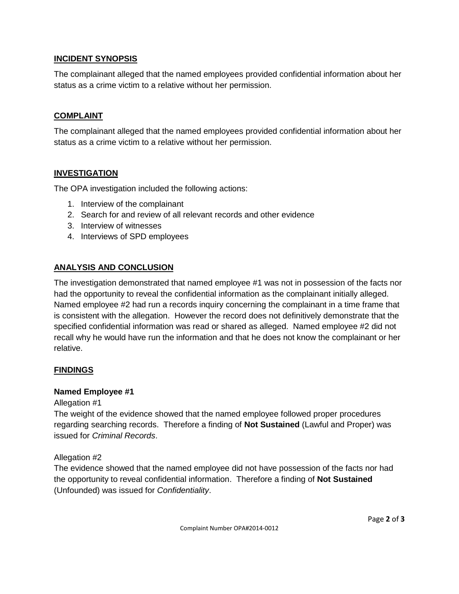## **INCIDENT SYNOPSIS**

The complainant alleged that the named employees provided confidential information about her status as a crime victim to a relative without her permission.

### **COMPLAINT**

The complainant alleged that the named employees provided confidential information about her status as a crime victim to a relative without her permission.

## **INVESTIGATION**

The OPA investigation included the following actions:

- 1. Interview of the complainant
- 2. Search for and review of all relevant records and other evidence
- 3. Interview of witnesses
- 4. Interviews of SPD employees

## **ANALYSIS AND CONCLUSION**

The investigation demonstrated that named employee #1 was not in possession of the facts nor had the opportunity to reveal the confidential information as the complainant initially alleged. Named employee #2 had run a records inquiry concerning the complainant in a time frame that is consistent with the allegation. However the record does not definitively demonstrate that the specified confidential information was read or shared as alleged. Named employee #2 did not recall why he would have run the information and that he does not know the complainant or her relative.

#### **FINDINGS**

#### **Named Employee #1**

Allegation #1

The weight of the evidence showed that the named employee followed proper procedures regarding searching records. Therefore a finding of **Not Sustained** (Lawful and Proper) was issued for *Criminal Records*.

Allegation #2

The evidence showed that the named employee did not have possession of the facts nor had the opportunity to reveal confidential information. Therefore a finding of **Not Sustained** (Unfounded) was issued for *Confidentiality*.